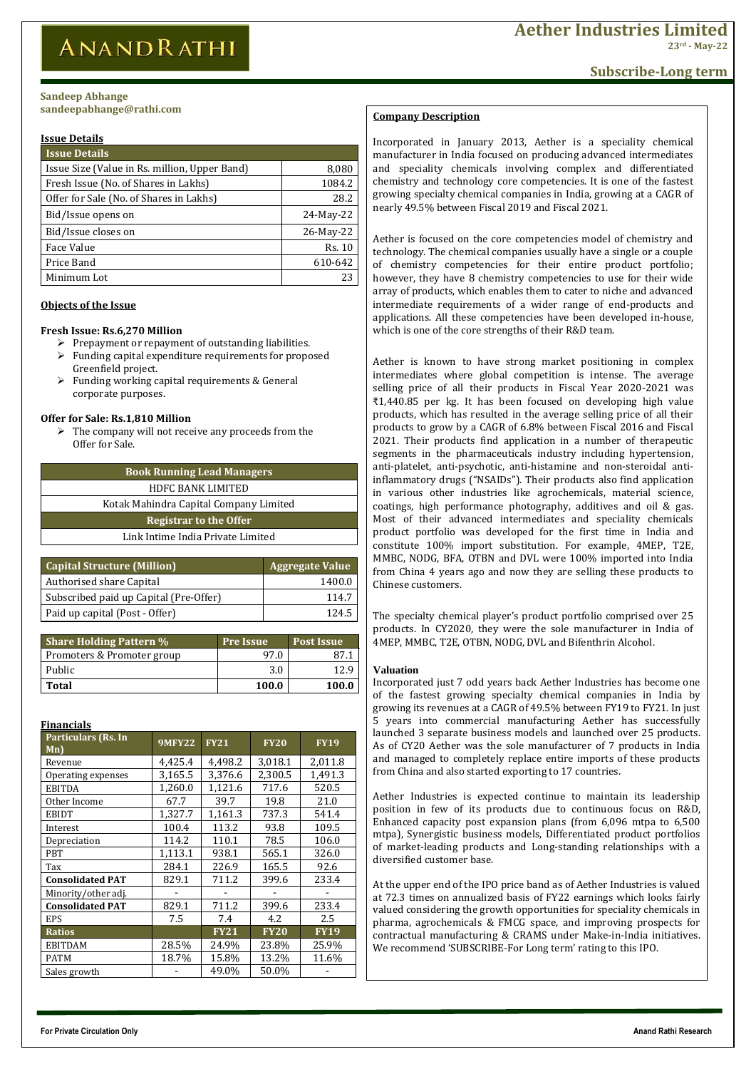**For Private Circulation Only Anand Rathi Research**

| <b>Issue Details</b>                          |               |
|-----------------------------------------------|---------------|
| Issue Size (Value in Rs. million, Upper Band) | 8,080         |
| Fresh Issue (No. of Shares in Lakhs)          | 1084.2        |
| Offer for Sale (No. of Shares in Lakhs)       | 28.2          |
| Bid/Issue opens on                            | 24-May-22     |
| Bid/Issue closes on                           | 26-May-22     |
| Face Value                                    | <b>Rs. 10</b> |
| Price Band                                    | 610-642       |
| Minimum Lot                                   | 23            |

- $\triangleright$  Prepayment or repayment of outstanding liabilities.
- $\triangleright$  Funding capital expenditure requirements for proposed Greenfield project.
- $\triangleright$  Funding working capital requirements & General corporate purposes.

 $\triangleright$  The company will not receive any proceeds from the Offer for Sale.

# **Objects of the Issue**

## **Fresh Issue: Rs.6,270 Million**

## **Offer for Sale: Rs.1,810 Million**

| <b>Book Running Lead Managers</b>      |  |  |  |  |
|----------------------------------------|--|--|--|--|
| <b>HDFC BANK LIMITED</b>               |  |  |  |  |
| Kotak Mahindra Capital Company Limited |  |  |  |  |
| <b>Registrar to the Offer</b>          |  |  |  |  |
| Link Intime India Private Limited      |  |  |  |  |
|                                        |  |  |  |  |

| <b>Capital Structure (Million)</b>     | <b>Aggregate Value</b> |
|----------------------------------------|------------------------|
| <b>Authorised share Capital</b>        | 1400.0                 |
| Subscribed paid up Capital (Pre-Offer) | 114.7                  |
| Paid up capital (Post - Offer)         | 124.5                  |

# **Issue Details bhange**

| <b>Share Holding Pattern %</b> | <b>Pre Issue</b> | <b>Post Issue</b> |
|--------------------------------|------------------|-------------------|
| Promoters & Promoter group     | 97 N             | 87 1              |
| Public                         | 3.0              |                   |
| <b>Total</b>                   | <b>100.0</b>     | 100.0             |

| Financials                        |               |                |             |             |  |
|-----------------------------------|---------------|----------------|-------------|-------------|--|
| <b>Particulars (Rs. In</b><br>Mn) | <b>9MFY22</b> | <b>FY21</b>    | <b>FY20</b> | <b>FY19</b> |  |
| Revenue                           | 4,425.4       | 4,498.2        | 3,018.1     | 2,011.8     |  |
| Operating expenses                | 3,165.5       | 3,376.6        | 2,300.5     | 1,491.3     |  |
| <b>EBITDA</b>                     | 1,260.0       | 1,121.6        | 717.6       | 520.5       |  |
| Other Income                      | 67.7          | 39.7           | 19.8        | 21.0        |  |
| <b>EBIDT</b>                      | 1,327.7       | 1,161.3        | 737.3       | 541.4       |  |
| Interest                          | 100.4         | 113.2          | 93.8        | 109.5       |  |
| Depreciation                      | 114.2         | 110.1          | 78.5        | 106.0       |  |
| <b>PBT</b>                        | 1,113.1       | 938.1<br>565.1 |             | 326.0       |  |
| Tax                               | 284.1         | 226.9          | 165.5       | 92.6        |  |
| <b>Consolidated PAT</b>           | 829.1         | 711.2          | 399.6       | 233.4       |  |
| Minority/other adj.               |               |                |             |             |  |
| <b>Consolidated PAT</b>           | 829.1         | 711.2          | 399.6       | 233.4       |  |
| <b>EPS</b>                        | 7.5           | 7.4            | 4.2         | 2.5         |  |
| <b>Ratios</b>                     |               | <b>FY21</b>    | <b>FY20</b> | <b>FY19</b> |  |
| <b>EBITDAM</b>                    | 28.5%         | 24.9%          | 23.8%       | 25.9%       |  |
| <b>PATM</b>                       | 18.7%         | 15.8%          | 13.2%       | 11.6%       |  |
| Sales growth                      |               | 49.0%          | 50.0%       |             |  |

#### **Sandeep Abhange sandeepabhange@rathi.com**

# **Company Description**

Incorporated in January 2013, Aether is a speciality chemical manufacturer in India focused on producing advanced intermediates and speciality chemicals involving complex and differentiated chemistry and technology core competencies. It is one of the fastest growing specialty chemical companies in India, growing at a CAGR of nearly 49.5% between Fiscal 2019 and Fiscal 2021.

Aether is focused on the core competencies model of chemistry and technology. The chemical companies usually have a single or a couple of chemistry competencies for their entire product portfolio; however, they have 8 chemistry competencies to use for their wide array of products, which enables them to cater to niche and advanced intermediate requirements of a wider range of end-products and applications. All these competencies have been developed in-house, which is one of the core strengths of their R&D team.

Aether is known to have strong market positioning in complex intermediates where global competition is intense. The average selling price of all their products in Fiscal Year 2020-2021 was ₹1,440.85 per kg. It has been focused on developing high value products, which has resulted in the average selling price of all their products to grow by a CAGR of 6.8% between Fiscal 2016 and Fiscal 2021. Their products find application in a number of therapeutic segments in the pharmaceuticals industry including hypertension, anti-platelet, anti-psychotic, anti-histamine and non-steroidal antiinflammatory drugs ("NSAIDs"). Their products also find application in various other industries like agrochemicals, material science, coatings, high performance photography, additives and oil & gas. Most of their advanced intermediates and speciality chemicals product portfolio was developed for the first time in India and constitute 100% import substitution. For example, 4MEP, T2E, MMBC, NODG, BFA, OTBN and DVL were 100% imported into India from China 4 years ago and now they are selling these products to Chinese customers.

The specialty chemical player's product portfolio comprised over 25 products. In CY2020, they were the sole manufacturer in India of 4MEP, MMBC, T2E, OTBN, NODG, DVL and Bifenthrin Alcohol.

## **Valuation**

Incorporated just 7 odd years back Aether Industries has become one of the fastest growing specialty chemical companies in India by growing its revenues at a CAGR of 49.5% between FY19 to FY21. In just 5 years into commercial manufacturing Aether has successfully launched 3 separate business models and launched over 25 products. As of CY20 Aether was the sole manufacturer of 7 products in India and managed to completely replace entire imports of these products from China and also started exporting to 17 countries.

Aether Industries is expected continue to maintain its leadership position in few of its products due to continuous focus on R&D, Enhanced capacity post expansion plans (from 6,096 mtpa to 6,500 mtpa), Synergistic business models, Differentiated product portfolios of market-leading products and Long-standing relationships with a diversified customer base.

At the upper end of the IPO price band as of Aether Industries is valued at 72.3 times on annualized basis of FY22 earnings which looks fairly valued considering the growth opportunities for speciality chemicals in pharma, agrochemicals & FMCG space, and improving prospects for contractual manufacturing & CRAMS under Make-in-India initiatives. We recommend 'SUBSCRIBE-For Long term' rating to this IPO.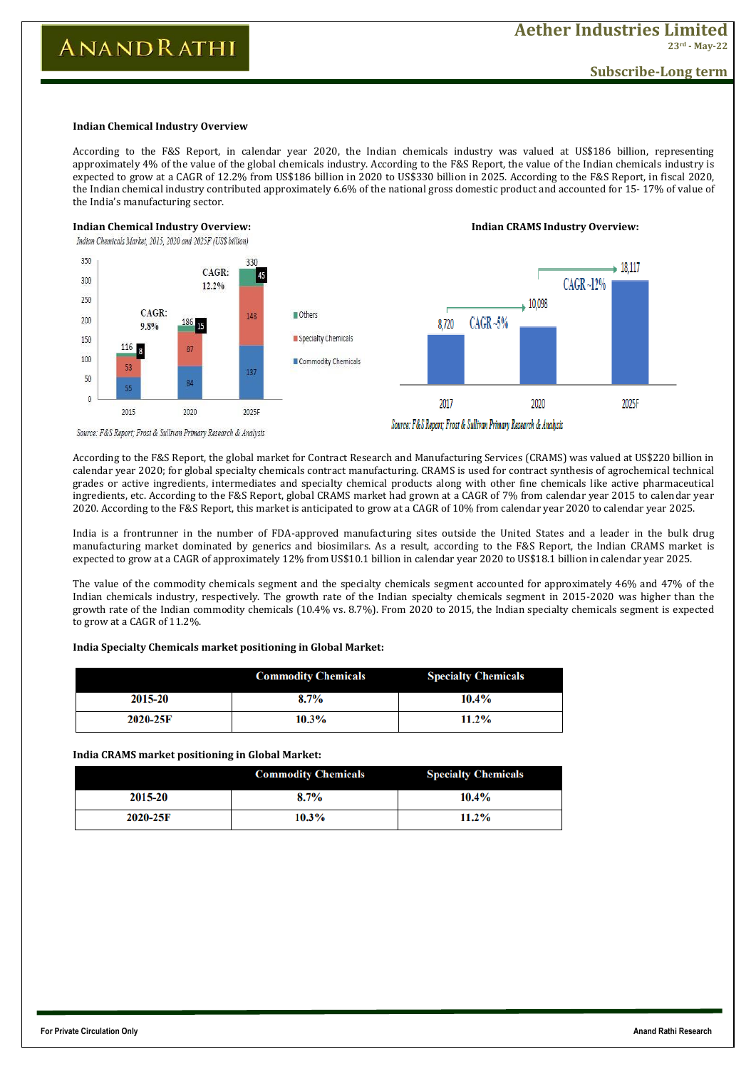**For Private Circulation Only Anand Rathi Research**

# **Subscribe-Long term**

### **Indian Chemical Industry Overview**

According to the F&S Report, in calendar year 2020, the Indian chemicals industry was valued at US\$186 billion, representing approximately 4% of the value of the global chemicals industry. According to the F&S Report, the value of the Indian chemicals industry is expected to grow at a CAGR of 12.2% from US\$186 billion in 2020 to US\$330 billion in 2025. According to the F&S Report, in fiscal 2020, the Indian chemical industry contributed approximately 6.6% of the national gross domestic product and accounted for 15- 17% of value of the India's manufacturing sector.



**Indian Chemical Industry Overview: Indian CRAMS Industry Overview:**

Source: F&S Report; Frost & Sullivan Primary Research & Analysis

According to the F&S Report, the global market for Contract Research and Manufacturing Services (CRAMS) was valued at US\$220 billion in calendar year 2020; for global specialty chemicals contract manufacturing. CRAMS is used for contract synthesis of agrochemical technical grades or active ingredients, intermediates and specialty chemical products along with other fine chemicals like active pharmaceutical ingredients, etc. According to the F&S Report, global CRAMS market had grown at a CAGR of 7% from calendar year 2015 to calendar year 2020. According to the F&S Report, this market is anticipated to grow at a CAGR of 10% from calendar year 2020 to calendar year 2025.

India is a frontrunner in the number of FDA-approved manufacturing sites outside the United States and a leader in the bulk drug manufacturing market dominated by generics and biosimilars. As a result, according to the F&S Report, the Indian CRAMS market is expected to grow at a CAGR of approximately 12% from US\$10.1 billion in calendar year 2020 to US\$18.1 billion in calendar year 2025.

The value of the commodity chemicals segment and the specialty chemicals segment accounted for approximately 46% and 47% of the Indian chemicals industry, respectively. The growth rate of the Indian specialty chemicals segment in 2015-2020 was higher than the growth rate of the Indian commodity chemicals (10.4% vs. 8.7%). From 2020 to 2015, the Indian specialty chemicals segment is expected to grow at a CAGR of 11.2%.

|          | <b>Commodity Chemicals</b> | <b>Specialty Chemicals</b> |
|----------|----------------------------|----------------------------|
| 2015-20  | 8.7%                       | $10.4\%$                   |
| 2020-25F | $10.3\%$                   | $11.2\%$                   |

## **India Specialty Chemicals market positioning in Global Market:**

### **India CRAMS market positioning in Global Market:**

|         | <b>Commodity Chemicals</b> | <b>Specialty Chemicals</b> |
|---------|----------------------------|----------------------------|
| 2015-20 | 8.7%                       | 10.4%                      |

| 2020-25F | 30/<br>10.3 | 1.20/<br>. |
|----------|-------------|------------|
|----------|-------------|------------|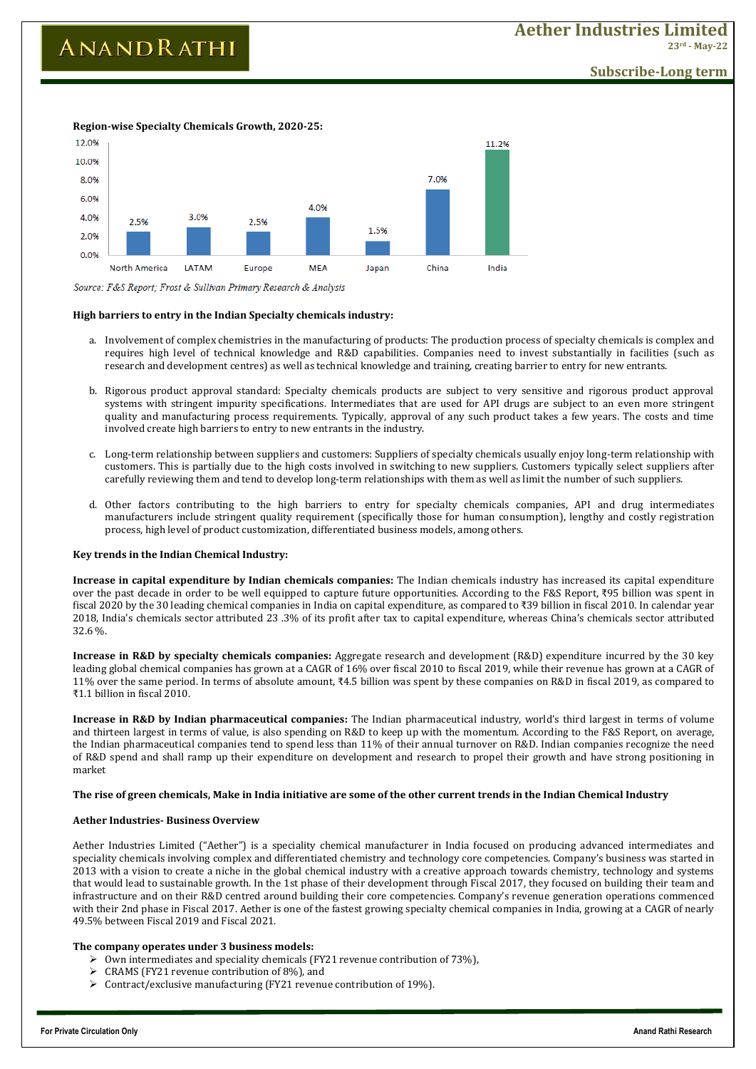**For Private Circulation Only Anand Rathi Research**

**Subscribe-Long term**



**Region-wise Specialty Chemicals Growth, 2020-25:**

Source: F&S Report; Frost & Sullivan Primary Research & Analysis

## **High barriers to entry in the Indian Specialty chemicals industry:**

- a. Involvement of complex chemistries in the manufacturing of products: The production process of specialty chemicals is complex and requires high level of technical knowledge and R&D capabilities. Companies need to invest substantially in facilities (such as research and development centres) as well as technical knowledge and training, creating barrier to entry for new entrants.
- b. Rigorous product approval standard: Specialty chemicals products are subject to very sensitive and rigorous product approval systems with stringent impurity specifications. Intermediates that are used for API drugs are subject to an even more stringent quality and manufacturing process requirements. Typically, approval of any such product takes a few years. The costs and time involved create high barriers to entry to new entrants in the industry.
- c. Long-term relationship between suppliers and customers: Suppliers of specialty chemicals usually enjoy long-term relationship with customers. This is partially due to the high costs involved in switching to new suppliers. Customers typically select suppliers after carefully reviewing them and tend to develop long-term relationships with them as well as limit the number of such suppliers.
- d. Other factors contributing to the high barriers to entry for specialty chemicals companies, API and drug intermediates manufacturers include stringent quality requirement (specifically those for human consumption), lengthy and costly registration process, high level of product customization, differentiated business models, among others.

## **Key trends in the Indian Chemical Industry:**

**Increase in capital expenditure by Indian chemicals companies:** The Indian chemicals industry has increased its capital expenditure over the past decade in order to be well equipped to capture future opportunities. According to the F&S Report, ₹95 billion was spent in fiscal 2020 by the 30 leading chemical companies in India on capital expenditure, as compared to ₹39 billion in fiscal 2010. In calendar year 2018, India's chemicals sector attributed 23 .3% of its profit after tax to capital expenditure, whereas China's chemicals sector attributed 32.6 %.

**Increase in R&D by specialty chemicals companies:** Aggregate research and development (R&D) expenditure incurred by the 30 key leading global chemical companies has grown at a CAGR of 16% over fiscal 2010 to fiscal 2019, while their revenue has grown at a CAGR of 11% over the same period. In terms of absolute amount, ₹4.5 billion was spent by these companies on R&D in fiscal 2019, as compared to ₹1.1 billion in fiscal 2010.

**Increase in R&D by Indian pharmaceutical companies:** The Indian pharmaceutical industry, world's third largest in terms of volume and thirteen largest in terms of value, is also spending on R&D to keep up with the momentum. According to the F&S Report, on average, the Indian pharmaceutical companies tend to spend less than 11% of their annual turnover on R&D. Indian companies recognize the need of R&D spend and shall ramp up their expenditure on development and research to propel their growth and have strong positioning in market

## **The rise of green chemicals, Make in India initiative are some of the other current trends in the Indian Chemical Industry**

#### **Aether Industries- Business Overview**

Aether Industries Limited ("Aether") is a speciality chemical manufacturer in India focused on producing advanced intermediates and speciality chemicals involving complex and differentiated chemistry and technology core competencies. Company's business was started in 2013 with a vision to create a niche in the global chemical industry with a creative approach towards chemistry, technology and systems that would lead to sustainable growth. In the 1st phase of their development through Fiscal 2017, they focused on building their team and infrastructure and on their R&D centred around building their core competencies. Company's revenue generation operations commenced with their 2nd phase in Fiscal 2017. Aether is one of the fastest growing specialty chemical companies in India, growing at a CAGR of nearly 49.5% between Fiscal 2019 and Fiscal 2021.

### **The company operates under 3 business models:**

- $\triangleright$  Own intermediates and speciality chemicals (FY21 revenue contribution of 73%),
- $\triangleright$  CRAMS (FY21 revenue contribution of 8%), and
- $\triangleright$  Contract/exclusive manufacturing (FY21 revenue contribution of 19%).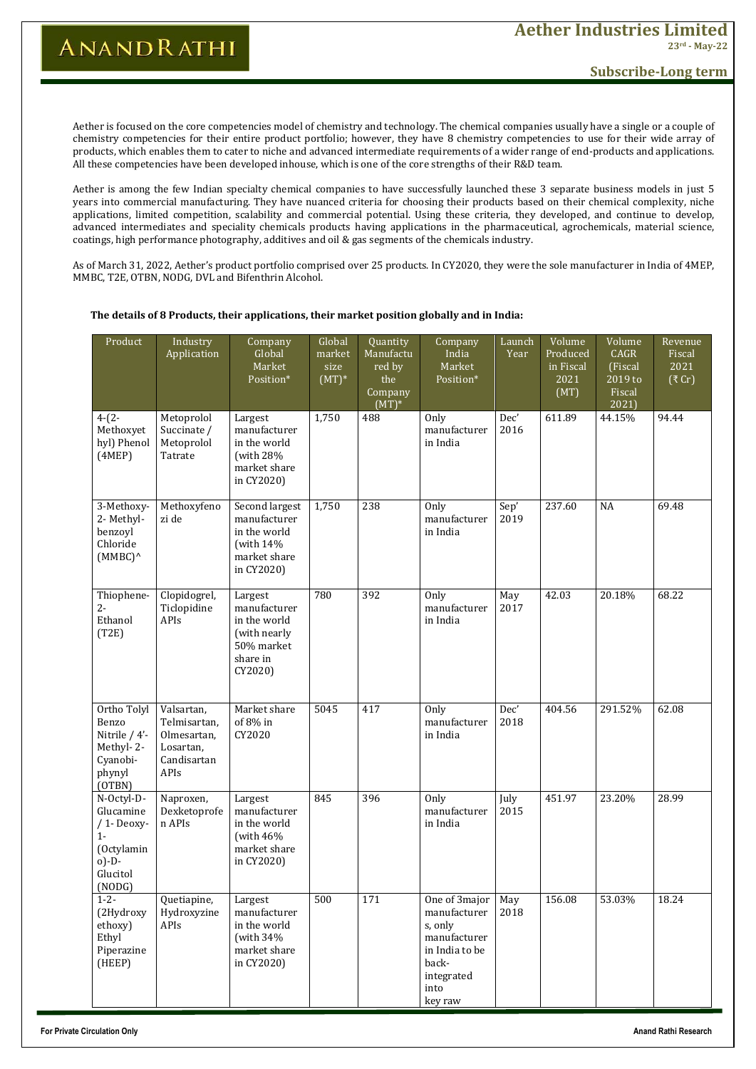# **Subscribe-Long term**

Aether is focused on the core competencies model of chemistry and technology. The chemical companies usually have a single or a couple of chemistry competencies for their entire product portfolio; however, they have 8 chemistry competencies to use for their wide array of products, which enables them to cater to niche and advanced intermediate requirements of a wider range of end-products and applications. All these competencies have been developed inhouse, which is one of the core strengths of their R&D team.

Aether is among the few Indian specialty chemical companies to have successfully launched these 3 separate business models in just 5 years into commercial manufacturing. They have nuanced criteria for choosing their products based on their chemical complexity, niche applications, limited competition, scalability and commercial potential. Using these criteria, they developed, and continue to develop, advanced intermediates and speciality chemicals products having applications in the pharmaceutical, agrochemicals, material science, coatings, high performance photography, additives and oil & gas segments of the chemicals industry.

As of March 31, 2022, Aether's product portfolio comprised over 25 products. In CY2020, they were the sole manufacturer in India of 4MEP, MMBC, T2E, OTBN, NODG, DVL and Bifenthrin Alcohol.

### **The details of 8 Products, their applications, their market position globally and in India:**

| Product                                                                                            | Industry<br>Application                                                       | Company<br>Global<br>Market<br>Position*                                                     | Global<br>market<br>size<br>$(MT)^*$ | Quantity<br>Manufactu<br>red by<br>the<br>Company<br>$(MT)^*$ | Company<br>India<br>Market<br>Position*                                                                              | Launch<br>Year | Volume<br>Produced<br>in Fiscal<br>2021<br>(MT) | Volume<br><b>CAGR</b><br>(Fiscal<br>2019 to<br>Fiscal<br>2021 | Revenue<br>Fiscal<br>2021<br>(3Cr) |
|----------------------------------------------------------------------------------------------------|-------------------------------------------------------------------------------|----------------------------------------------------------------------------------------------|--------------------------------------|---------------------------------------------------------------|----------------------------------------------------------------------------------------------------------------------|----------------|-------------------------------------------------|---------------------------------------------------------------|------------------------------------|
| $4-(2-$<br>Methoxyet<br>hyl) Phenol<br>(4MEP)                                                      | Metoprolol<br>Succinate /<br>Metoprolol<br>Tatrate                            | Largest<br>manufacturer<br>in the world<br>(with $28%$<br>market share<br>in CY2020)         | 1,750                                | 488                                                           | Only<br>manufacturer<br>in India                                                                                     | Dec'<br>2016   | 611.89                                          | 44.15%                                                        | 94.44                              |
| 3-Methoxy-<br>2- Methyl-<br>benzoyl<br>Chloride<br>$(MMBC)^{\wedge}$                               | Methoxyfeno<br>zi de                                                          | Second largest<br>manufacturer<br>in the world<br>(with $14\%$<br>market share<br>in CY2020) | 1,750                                | 238                                                           | Only<br>manufacturer<br>in India                                                                                     | Sep'<br>2019   | 237.60                                          | NA                                                            | 69.48                              |
| Thiophene-<br>$2-$<br>Ethanol<br>(T2E)                                                             | Clopidogrel,<br>Ticlopidine<br>APIs                                           | Largest<br>manufacturer<br>in the world<br>(with nearly<br>50% market<br>share in<br>CY2020) | 780                                  | 392                                                           | Only<br>manufacturer<br>in India                                                                                     | May<br>2017    | 42.03                                           | 20.18%                                                        | 68.22                              |
| Ortho Tolyl<br>Benzo<br>Nitrile $/4'$ -<br>Methyl-2-<br>Cyanobi-<br>phynyl<br>(OTBN)               | Valsartan,<br>Telmisartan,<br>Olmesartan,<br>Losartan,<br>Candisartan<br>APIs | Market share<br>of $8\%$ in<br>CY2020                                                        | 5045                                 | 417                                                           | Only<br>manufacturer<br>in India                                                                                     | Dec'<br>2018   | 404.56                                          | 291.52%                                                       | 62.08                              |
| N-Octyl-D-<br>Glucamine<br>$/1$ -Deoxy-<br>$1 -$<br>(Octylamin<br>$o) - D -$<br>Glucitol<br>(NODG) | Naproxen,<br>Dexketoprofe<br>n APIs                                           | Largest<br>manufacturer<br>in the world<br>(with $46\%$<br>market share<br>in CY2020)        | 845                                  | 396                                                           | Only<br>manufacturer<br>in India                                                                                     | July<br>2015   | 451.97                                          | 23.20%                                                        | 28.99                              |
| $1 - 2 -$<br>(2Hydroxy<br>ethoxy)<br>Ethyl<br>Piperazine<br>(HEEP)                                 | Quetiapine,<br>Hydroxyzine<br>APIs                                            | Largest<br>manufacturer<br>in the world<br>(with $34\%$<br>market share<br>in CY2020)        | 500                                  | 171                                                           | One of 3major<br>manufacturer<br>s, only<br>manufacturer<br>in India to be<br>back-<br>integrated<br>into<br>key raw | May<br>2018    | 156.08                                          | 53.03%                                                        | 18.24                              |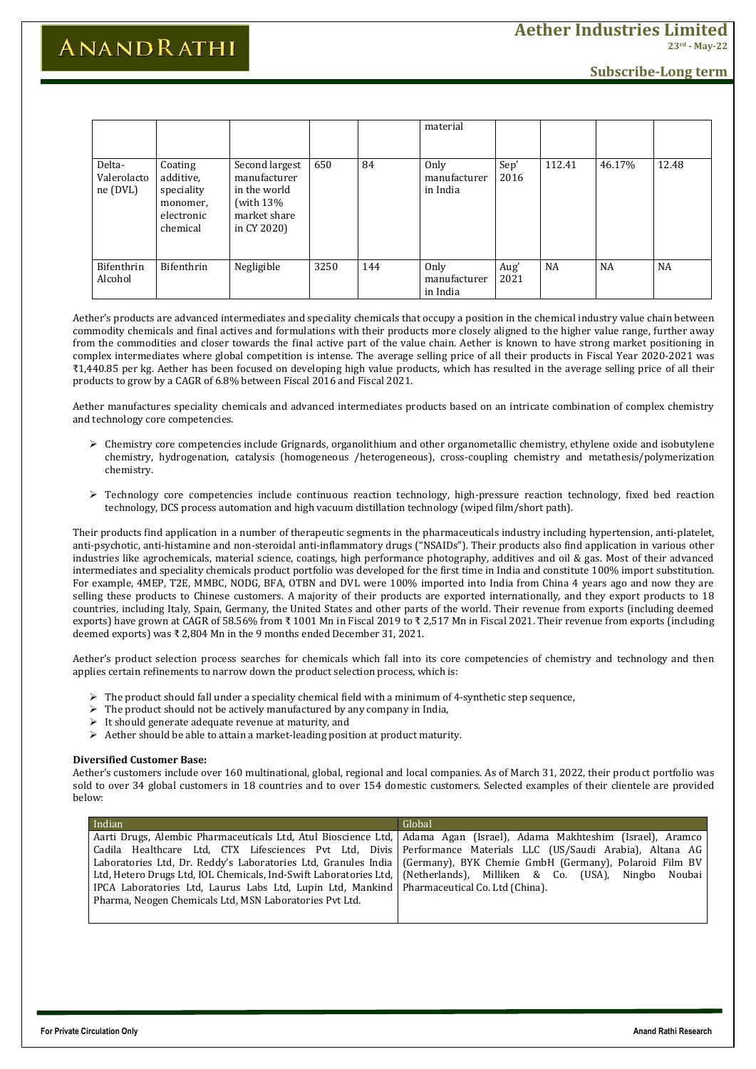**For Private Circulation Only Anand Rathi Research**

# **ANANDRATHI**

**Subscribe-Long term**

|                                   |                                                                          |                                                                                               |      |     | material                         |              |           |           |           |
|-----------------------------------|--------------------------------------------------------------------------|-----------------------------------------------------------------------------------------------|------|-----|----------------------------------|--------------|-----------|-----------|-----------|
| Delta-<br>Valerolacto<br>ne (DVL) | Coating<br>additive,<br>speciality<br>monomer,<br>electronic<br>chemical | Second largest<br>manufacturer<br>in the world<br>(with $13\%$<br>market share<br>in CY 2020) | 650  | 84  | Only<br>manufacturer<br>in India | Sep'<br>2016 | 112.41    | 46.17%    | 12.48     |
| Bifenthrin<br>Alcohol             | Bifenthrin                                                               | Negligible                                                                                    | 3250 | 144 | Only<br>manufacturer<br>in India | Aug'<br>2021 | <b>NA</b> | <b>NA</b> | <b>NA</b> |

Aether's products are advanced intermediates and speciality chemicals that occupy a position in the chemical industry value chain between commodity chemicals and final actives and formulations with their products more closely aligned to the higher value range, further away from the commodities and closer towards the final active part of the value chain. Aether is known to have strong market positioning in complex intermediates where global competition is intense. The average selling price of all their products in Fiscal Year 2020-2021 was ₹1,440.85 per kg. Aether has been focused on developing high value products, which has resulted in the average selling price of all their products to grow by a CAGR of 6.8% between Fiscal 2016 and Fiscal 2021.

Aether manufactures speciality chemicals and advanced intermediates products based on an intricate combination of complex chemistry and technology core competencies.

- Chemistry core competencies include Grignards, organolithium and other organometallic chemistry, ethylene oxide and isobutylene chemistry, hydrogenation, catalysis (homogeneous /heterogeneous), cross-coupling chemistry and metathesis/polymerization chemistry.
- $\triangleright$  Technology core competencies include continuous reaction technology, high-pressure reaction technology, fixed bed reaction technology, DCS process automation and high vacuum distillation technology (wiped film/short path).

- $\triangleright$  The product should fall under a speciality chemical field with a minimum of 4-synthetic step sequence,
- $\triangleright$  The product should not be actively manufactured by any company in India,
- $\triangleright$  It should generate adequate revenue at maturity, and
- Aether should be able to attain a market-leading position at product maturity.

Their products find application in a number of therapeutic segments in the pharmaceuticals industry including hypertension, anti-platelet, anti-psychotic, anti-histamine and non-steroidal anti-inflammatory drugs ("NSAIDs"). Their products also find application in various other industries like agrochemicals, material science, coatings, high performance photography, additives and oil & gas. Most of their advanced intermediates and speciality chemicals product portfolio was developed for the first time in India and constitute 100% import substitution. For example, 4MEP, T2E, MMBC, NODG, BFA, OTBN and DVL were 100% imported into India from China 4 years ago and now they are selling these products to Chinese customers. A majority of their products are exported internationally, and they export products to 18 countries, including Italy, Spain, Germany, the United States and other parts of the world. Their revenue from exports (including deemed exports) have grown at CAGR of 58.56% from ₹ 1001 Mn in Fiscal 2019 to ₹ 2,517 Mn in Fiscal 2021. Their revenue from exports (including deemed exports) was ₹ 2,804 Mn in the 9 months ended December 31, 2021.

Aether's product selection process searches for chemicals which fall into its core competencies of chemistry and technology and then applies certain refinements to narrow down the product selection process, which is:

## **Diversified Customer Base:**

Aether's customers include over 160 multinational, global, regional and local companies. As of March 31, 2022, their product portfolio was sold to over 34 global customers in 18 countries and to over 154 domestic customers. Selected examples of their clientele are provided below:

| Indian                                                                                                          | Global                                                                                                                  |
|-----------------------------------------------------------------------------------------------------------------|-------------------------------------------------------------------------------------------------------------------------|
|                                                                                                                 | Aarti Drugs, Alembic Pharmaceuticals Ltd, Atul Bioscience Ltd, Adama Agan (Israel), Adama Makhteshim (Israel), Aramco   |
|                                                                                                                 | Cadila Healthcare Ltd, CTX Lifesciences Pvt Ltd, Divis Performance Materials LLC (US/Saudi Arabia), Altana AG           |
|                                                                                                                 | Laboratories Ltd, Dr. Reddy's Laboratories Ltd, Granules India   (Germany), BYK Chemie GmbH (Germany), Polaroid Film BV |
| Ltd, Hetero Drugs Ltd, IOL Chemicals, Ind-Swift Laboratories Ltd,   (Netherlands), Milliken & Co. (USA), Ningbo | Noubai                                                                                                                  |
| IPCA Laboratories Ltd, Laurus Labs Ltd, Lupin Ltd, Mankind   Pharmaceutical Co. Ltd (China).                    |                                                                                                                         |
| Pharma, Neogen Chemicals Ltd, MSN Laboratories Pvt Ltd.                                                         |                                                                                                                         |
|                                                                                                                 |                                                                                                                         |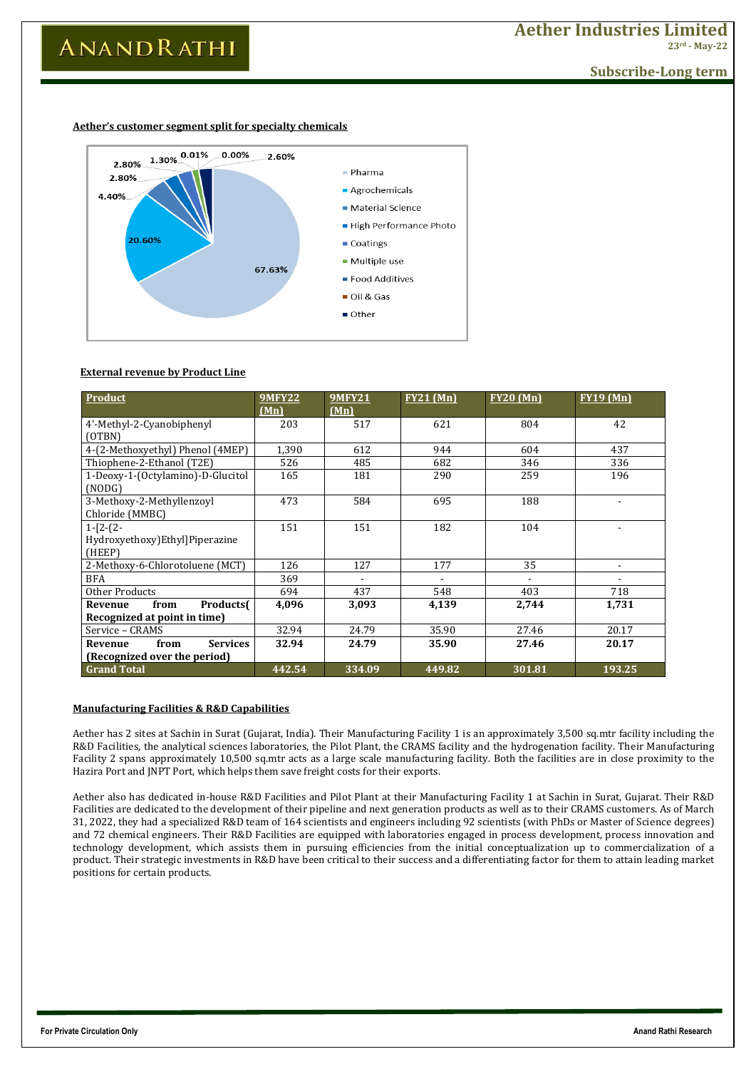**For Private Circulation Only Anand Rathi Research**

**Subscribe-Long term**

### **Aether's customer segment split for specialty chemicals**



### **External revenue by Product Line**

| <b>Product</b>                               | <b>9MFY22</b><br>(Mn) | <b>9MFY21</b><br>(Mn)    | $FY21$ (Mn)    | <b>FY20 (Mn)</b> | <b>FY19 (Mn)</b> |
|----------------------------------------------|-----------------------|--------------------------|----------------|------------------|------------------|
| 4'-Methyl-2-Cyanobiphenyl<br>(OTBN)          | 203                   | 517                      | 621            | 804              | 42               |
| 4-(2-Methoxyethyl) Phenol (4MEP)             | 1,390                 | 612                      | 944            | 604              | 437              |
| Thiophene-2-Ethanol (T2E)                    | 526                   | 485                      | 682            | 346              | 336              |
| 1-Deoxy-1-(Octylamino)-D-Glucitol<br>(NODG)  | 165                   | 181                      | 290            | 259              | 196              |
| 3-Methoxy-2-Methyllenzoyl<br>Chloride (MMBC) | 473                   | 584                      | 695            | 188              |                  |
| $1-[2-(2-$                                   | 151                   | 151                      | 182            | 104              |                  |
| Hydroxyethoxy) Ethyl] Piperazine<br>(HEEP)   |                       |                          |                |                  |                  |
| 2-Methoxy-6-Chlorotoluene (MCT)              | 126                   | 127                      | 177            | 35               |                  |
| <b>BFA</b>                                   | 369                   | $\overline{\phantom{a}}$ | $\blacksquare$ |                  | $\blacksquare$   |
| Other Products                               | 694                   | 437                      | 548            | 403              | 718              |
| <b>Products</b><br>from<br>Revenue           | 4,096                 | 3,093                    | 4,139          | 2,744            | 1,731            |
| Recognized at point in time)                 |                       |                          |                |                  |                  |
| Service - CRAMS                              | 32.94                 | 24.79                    | 35.90          | 27.46            | 20.17            |
| from<br><b>Services</b><br>Revenue           | 32.94                 | 24.79                    | 35.90          | 27.46            | 20.17            |
| (Recognized over the period)                 |                       |                          |                |                  |                  |
| <b>Grand Total</b>                           | 442.54                | 334.09                   | 449.82         | 301.81           | 193.25           |

## **Manufacturing Facilities & R&D Capabilities**

Aether has 2 sites at Sachin in Surat (Gujarat, India). Their Manufacturing Facility 1 is an approximately 3,500 sq.mtr facility including the R&D Facilities, the analytical sciences laboratories, the Pilot Plant, the CRAMS facility and the hydrogenation facility. Their Manufacturing Facility 2 spans approximately 10,500 sq.mtr acts as a large scale manufacturing facility. Both the facilities are in close proximity to the Hazira Port and JNPT Port, which helps them save freight costs for their exports.

Aether also has dedicated in-house R&D Facilities and Pilot Plant at their Manufacturing Facility 1 at Sachin in Surat, Gujarat. Their R&D Facilities are dedicated to the development of their pipeline and next generation products as well as to their CRAMS customers. As of March 31, 2022, they had a specialized R&D team of 164 scientists and engineers including 92 scientists (with PhDs or Master of Science degrees) and 72 chemical engineers. Their R&D Facilities are equipped with laboratories engaged in process development, process innovation and technology development, which assists them in pursuing efficiencies from the initial conceptualization up to commercialization of a product. Their strategic investments in R&D have been critical to their success and a differentiating factor for them to attain leading market positions for certain products.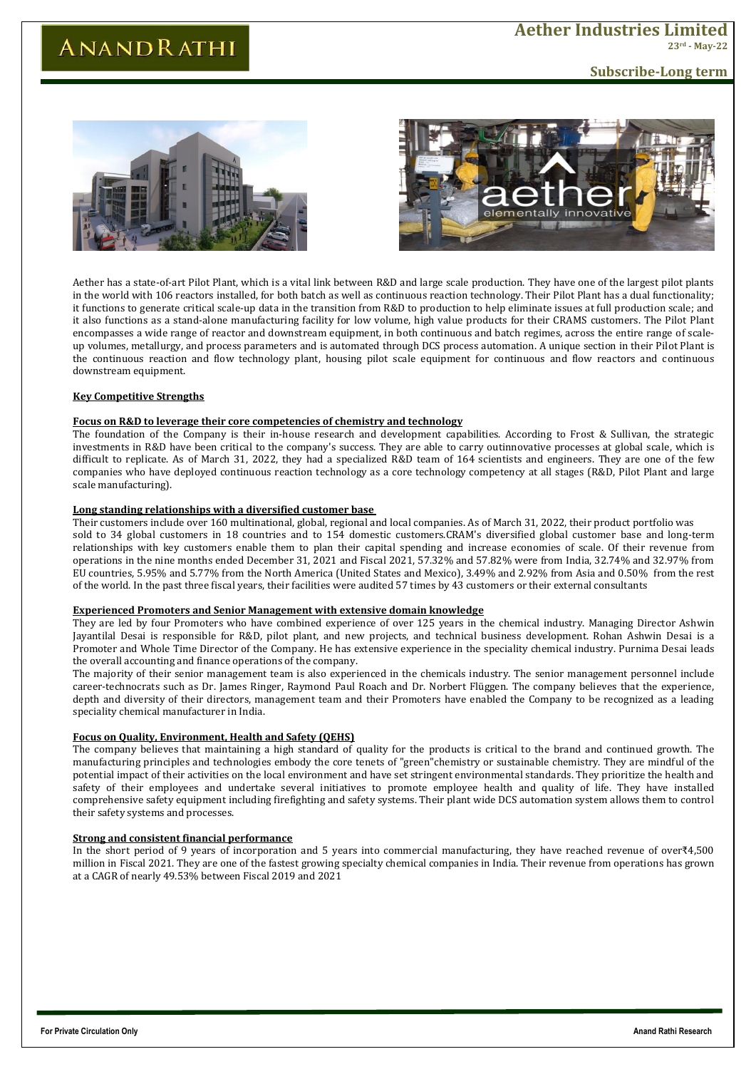**For Private Circulation Only Anand Rathi Research**

# **Subscribe-Long term**





Aether has a state-of-art Pilot Plant, which is a vital link between R&D and large scale production. They have one of the largest pilot plants in the world with 106 reactors installed, for both batch as well as continuous reaction technology. Their Pilot Plant has a dual functionality; it functions to generate critical scale-up data in the transition from R&D to production to help eliminate issues at full production scale; and it also functions as a stand-alone manufacturing facility for low volume, high value products for their CRAMS customers. The Pilot Plant encompasses a wide range of reactor and downstream equipment, in both continuous and batch regimes, across the entire range of scaleup volumes, metallurgy, and process parameters and is automated through DCS process automation. A unique section in their Pilot Plant is the continuous reaction and flow technology plant, housing pilot scale equipment for continuous and flow reactors and continuous downstream equipment.

### **Key Competitive Strengths**

## **Focus on R&D to leverage their core competencies of chemistry and technology**

The foundation of the Company is their in-house research and development capabilities. According to Frost & Sullivan, the strategic investments in R&D have been critical to the company's success. They are able to carry outinnovative processes at global scale, which is difficult to replicate. As of March 31, 2022, they had a specialized R&D team of 164 scientists and engineers. They are one of the few companies who have deployed continuous reaction technology as a core technology competency at all stages (R&D, Pilot Plant and large scale manufacturing).

## **Long standing relationships with a diversified customer base**

Their customers include over 160 multinational, global, regional and local companies. As of March 31, 2022, their product portfolio was sold to 34 global customers in 18 countries and to 154 domestic customers.CRAM's diversified global customer base and long-term relationships with key customers enable them to plan their capital spending and increase economies of scale. Of their revenue from operations in the nine months ended December 31, 2021 and Fiscal 2021, 57.32% and 57.82% were from India, 32.74% and 32.97% from EU countries, 5.95% and 5.77% from the North America (United States and Mexico), 3.49% and 2.92% from Asia and 0.50% from the rest of the world. In the past three fiscal years, their facilities were audited 57 times by 43 customers or their external consultants

### **Experienced Promoters and Senior Management with extensive domain knowledge**

They are led by four Promoters who have combined experience of over 125 years in the chemical industry. Managing Director Ashwin Jayantilal Desai is responsible for R&D, pilot plant, and new projects, and technical business development. Rohan Ashwin Desai is a Promoter and Whole Time Director of the Company. He has extensive experience in the speciality chemical industry. Purnima Desai leads the overall accounting and finance operations of the company.

The majority of their senior management team is also experienced in the chemicals industry. The senior management personnel include career-technocrats such as Dr. James Ringer, Raymond Paul Roach and Dr. Norbert Flüggen. The company believes that the experience, depth and diversity of their directors, management team and their Promoters have enabled the Company to be recognized as a leading speciality chemical manufacturer in India.

## **Focus on Quality, Environment, Health and Safety (QEHS)**

The company believes that maintaining a high standard of quality for the products is critical to the brand and continued growth. The manufacturing principles and technologies embody the core tenets of "green"chemistry or sustainable chemistry. They are mindful of the potential impact of their activities on the local environment and have set stringent environmental standards. They prioritize the health and safety of their employees and undertake several initiatives to promote employee health and quality of life. They have installed comprehensive safety equipment including firefighting and safety systems. Their plant wide DCS automation system allows them to control

their safety systems and processes.

#### **Strong and consistent financial performance**

In the short period of 9 years of incorporation and 5 years into commercial manufacturing, they have reached revenue of over₹4,500 million in Fiscal 2021. They are one of the fastest growing specialty chemical companies in India. Their revenue from operations has grown at a CAGR of nearly 49.53% between Fiscal 2019 and 2021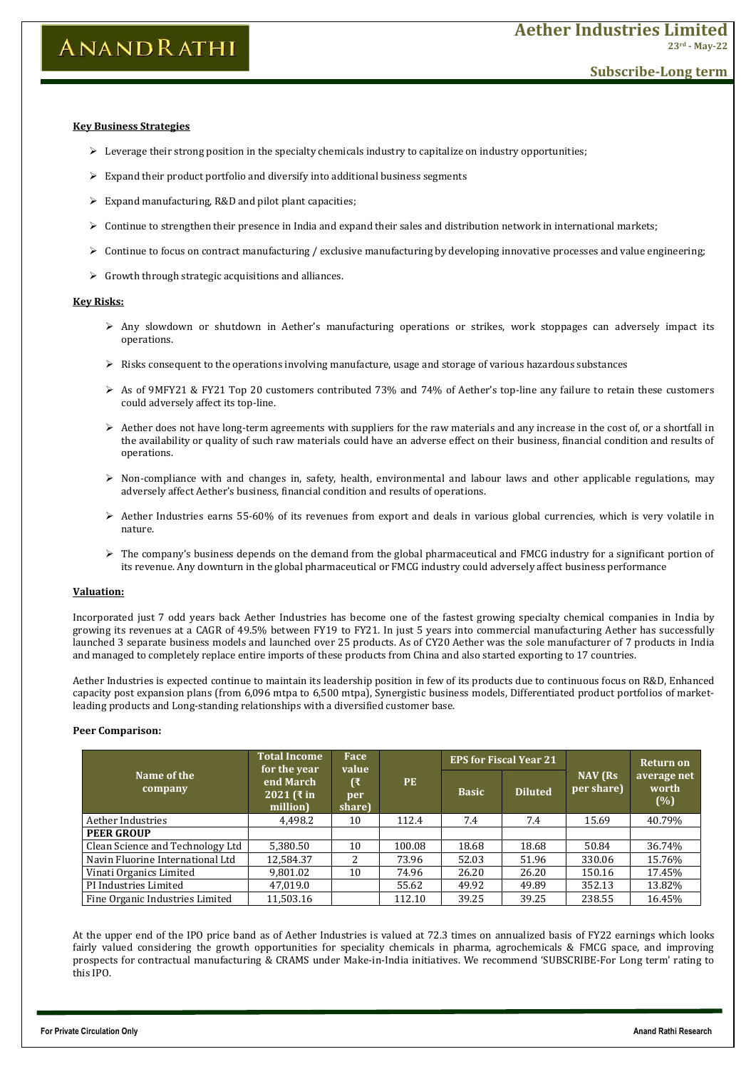- $\triangleright$  Leverage their strong position in the specialty chemicals industry to capitalize on industry opportunities;
- $\triangleright$  Expand their product portfolio and diversify into additional business segments
- $\triangleright$  Expand manufacturing, R&D and pilot plant capacities;
- $\triangleright$  Continue to strengthen their presence in India and expand their sales and distribution network in international markets;
- Continue to focus on contract manufacturing / exclusive manufacturing by developing innovative processes and value engineering;
- $\triangleright$  Growth through strategic acquisitions and alliances.

**For Private Circulation Only Anand Rathi Research**

# **ANANDRATHI**

# **Aether Industries Limited 23rd - May-22**

# **Subscribe-Long term**

### **Key Business Strategies**

### **Key Risks:**

- $\triangleright$  Any slowdown or shutdown in Aether's manufacturing operations or strikes, work stoppages can adversely impact its operations.
- $\triangleright$  Risks consequent to the operations involving manufacture, usage and storage of various hazardous substances
- As of 9MFY21 & FY21 Top 20 customers contributed 73% and 74% of Aether's top-line any failure to retain these customers could adversely affect its top-line.
- $\triangleright$  Aether does not have long-term agreements with suppliers for the raw materials and any increase in the cost of, or a shortfall in the availability or quality of such raw materials could have an adverse effect on their business, financial condition and results of operations.
- $\triangleright$  Non-compliance with and changes in, safety, health, environmental and labour laws and other applicable regulations, may adversely affect Aether's business, financial condition and results of operations.
- $\triangleright$  Aether Industries earns 55-60% of its revenues from export and deals in various global currencies, which is very volatile in nature.
- $\triangleright$  The company's business depends on the demand from the global pharmaceutical and FMCG industry for a significant portion of its revenue. Any downturn in the global pharmaceutical or FMCG industry could adversely affect business performance

### **Valuation:**

Incorporated just 7 odd years back Aether Industries has become one of the fastest growing specialty chemical companies in India by growing its revenues at a CAGR of 49.5% between FY19 to FY21. In just 5 years into commercial manufacturing Aether has successfully launched 3 separate business models and launched over 25 products. As of CY20 Aether was the sole manufacturer of 7 products in India and managed to completely replace entire imports of these products from China and also started exporting to 17 countries.

Aether Industries is expected continue to maintain its leadership position in few of its products due to continuous focus on R&D, Enhanced capacity post expansion plans (from 6,096 mtpa to 6,500 mtpa), Synergistic business models, Differentiated product portfolios of marketleading products and Long-standing relationships with a diversified customer base.

### **Peer Comparison:**

|                                  | <b>Total Income</b>                                          | Face<br>value<br>(₹<br>per<br>share) | <b>PE</b> | <b>EPS for Fiscal Year 21</b> |                |                                   | <b>Return on</b>            |
|----------------------------------|--------------------------------------------------------------|--------------------------------------|-----------|-------------------------------|----------------|-----------------------------------|-----------------------------|
| Name of the<br>company           | for the year<br>end March<br>2021 ( $\bar{x}$ in<br>million) |                                      |           | <b>Basic</b>                  | <b>Diluted</b> | NAV <sub>(Rs)</sub><br>per share) | average net<br>worth<br>(%) |
| Aether Industries                | 4,498.2                                                      | 10                                   | 112.4     | 7.4                           | 7.4            | 15.69                             | 40.79%                      |
| <b>PEER GROUP</b>                |                                                              |                                      |           |                               |                |                                   |                             |
| Clean Science and Technology Ltd | 5,380.50                                                     | 10                                   | 100.08    | 18.68                         | 18.68          | 50.84                             | 36.74%                      |
| Navin Fluorine International Ltd | 12,584.37                                                    | າ                                    | 73.96     | 52.03                         | 51.96          | 330.06                            | 15.76%                      |
| Vinati Organics Limited          | 9,801.02                                                     | 10                                   | 74.96     | 26.20                         | 26.20          | 150.16                            | 17.45%                      |
| PI Industries Limited            | 47,019.0                                                     |                                      | 55.62     | 49.92                         | 49.89          | 352.13                            | 13.82%                      |
| Fine Organic Industries Limited  | 11,503.16                                                    |                                      | 112.10    | 39.25                         | 39.25          | 238.55                            | 16.45%                      |

At the upper end of the IPO price band as of Aether Industries is valued at 72.3 times on annualized basis of FY22 earnings which looks fairly valued considering the growth opportunities for speciality chemicals in pharma, agrochemicals & FMCG space, and improving prospects for contractual manufacturing & CRAMS under Make-in-India initiatives. We recommend 'SUBSCRIBE-For Long term' rating to this IPO.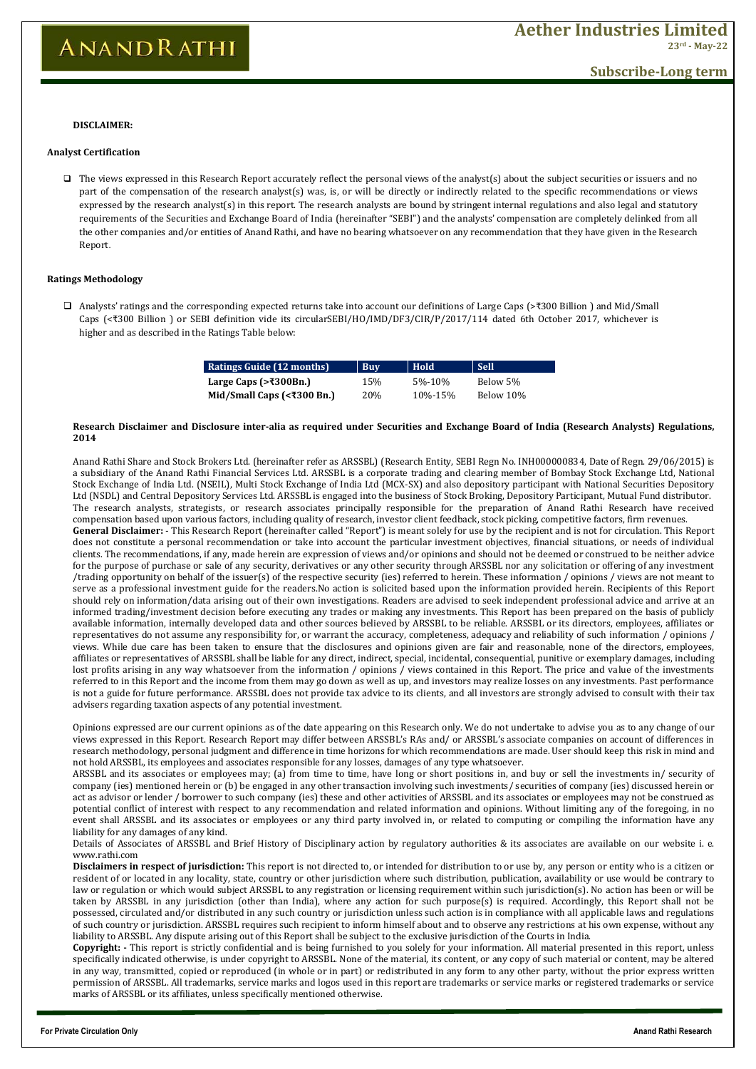**For Private Circulation Only Anand Rathi Research**

# **ANANDRATHI**

# **Subscribe-Long term**

#### **DISCLAIMER:**

#### **Research Disclaimer and Disclosure inter-alia as required under Securities and Exchange Board of India (Research Analysts) Regulations, 2014**

Anand Rathi Share and Stock Brokers Ltd. (hereinafter refer as ARSSBL) (Research Entity, SEBI Regn No. INH000000834, Date of Regn. 29/06/2015) is a subsidiary of the Anand Rathi Financial Services Ltd. ARSSBL is a corporate trading and clearing member of Bombay Stock Exchange Ltd, National Stock Exchange of India Ltd. (NSEIL), Multi Stock Exchange of India Ltd (MCX-SX) and also depository participant with National Securities Depository Ltd (NSDL) and Central Depository Services Ltd. ARSSBL is engaged into the business of Stock Broking, Depository Participant, Mutual Fund distributor. The research analysts, strategists, or research associates principally responsible for the preparation of Anand Rathi Research have received compensation based upon various factors, including quality of research, investor client feedback, stock picking, competitive factors, firm revenues. **General Disclaimer:** - This Research Report (hereinafter called "Report") is meant solely for use by the recipient and is not for circulation. This Report does not constitute a personal recommendation or take into account the particular investment objectives, financial situations, or needs of individual clients. The recommendations, if any, made herein are expression of views and/or opinions and should not be deemed or construed to be neither advice for the purpose of purchase or sale of any security, derivatives or any other security through ARSSBL nor any solicitation or offering of any investment /trading opportunity on behalf of the issuer(s) of the respective security (ies) referred to herein. These information / opinions / views are not meant to serve as a professional investment guide for the readers.No action is solicited based upon the information provided herein. Recipients of this Report should rely on information/data arising out of their own investigations. Readers are advised to seek independent professional advice and arrive at an informed trading/investment decision before executing any trades or making any investments. This Report has been prepared on the basis of publicly available information, internally developed data and other sources believed by ARSSBL to be reliable. ARSSBL or its directors, employees, affiliates or representatives do not assume any responsibility for, or warrant the accuracy, completeness, adequacy and reliability of such information / opinions / views. While due care has been taken to ensure that the disclosures and opinions given are fair and reasonable, none of the directors, employees, affiliates or representatives of ARSSBL shall be liable for any direct, indirect, special, incidental, consequential, punitive or exemplary damages, including lost profits arising in any way whatsoever from the information / opinions / views contained in this Report. The price and value of the investments referred to in this Report and the income from them may go down as well as up, and investors may realize losses on any investments. Past performance is not a guide for future performance. ARSSBL does not provide tax advice to its clients, and all investors are strongly advised to consult with their tax advisers regarding taxation aspects of any potential investment.

Opinions expressed are our current opinions as of the date appearing on this Research only. We do not undertake to advise you as to any change of our views expressed in this Report. Research Report may differ between ARSSBL's RAs and/ or ARSSBL's associate companies on account of differences in research methodology, personal judgment and difference in time horizons for which recommendations are made. User should keep this risk in mind and not hold ARSSBL, its employees and associates responsible for any losses, damages of any type whatsoever.

 $\Box$  The views expressed in this Research Report accurately reflect the personal views of the analyst(s) about the subject securities or issuers and no part of the compensation of the research analyst(s) was, is, or will be directly or indirectly related to the specific recommendations or views expressed by the research analyst(s) in this report. The research analysts are bound by stringent internal regulations and also legal and statutory requirements of the Securities and Exchange Board of India (hereinafter "SEBI") and the analysts' compensation are completely delinked from all the other companies and/or entities of Anand Rathi, and have no bearing whatsoever on any recommendation that they have given in the Research Report.

ARSSBL and its associates or employees may; (a) from time to time, have long or short positions in, and buy or sell the investments in/ security of company (ies) mentioned herein or (b) be engaged in any other transaction involving such investments/ securities of company (ies) discussed herein or act as advisor or lender / borrower to such company (ies) these and other activities of ARSSBL and its associates or employees may not be construed as potential conflict of interest with respect to any recommendation and related information and opinions. Without limiting any of the foregoing, in no event shall ARSSBL and its associates or employees or any third party involved in, or related to computing or compiling the information have any liability for any damages of any kind.

Details of Associates of ARSSBL and Brief History of Disciplinary action by regulatory authorities & its associates are available on our website i. e. www.rathi.com

**Disclaimers in respect of jurisdiction:** This report is not directed to, or intended for distribution to or use by, any person or entity who is a citizen or resident of or located in any locality, state, country or other jurisdiction where such distribution, publication, availability or use would be contrary to law or regulation or which would subject ARSSBL to any registration or licensing requirement within such jurisdiction(s). No action has been or will be taken by ARSSBL in any jurisdiction (other than India), where any action for such purpose(s) is required. Accordingly, this Report shall not be possessed, circulated and/or distributed in any such country or jurisdiction unless such action is in compliance with all applicable laws and regulations of such country or jurisdiction. ARSSBL requires such recipient to inform himself about and to observe any restrictions at his own expense, without any liability to ARSSBL. Any dispute arising out of this Report shall be subject to the exclusive jurisdiction of the Courts in India.

**Copyright: -** This report is strictly confidential and is being furnished to you solely for your information. All material presented in this report, unless specifically indicated otherwise, is under copyright to ARSSBL. None of the material, its content, or any copy of such material or content, may be altered in any way, transmitted, copied or reproduced (in whole or in part) or redistributed in any form to any other party, without the prior express written permission of ARSSBL. All trademarks, service marks and logos used in this report are trademarks or service marks or registered trademarks or service marks of ARSSBL or its affiliates, unless specifically mentioned otherwise.

| Ratings Guide (12 months)                      | <b>Buv</b> | Hold         | Sell       |
|------------------------------------------------|------------|--------------|------------|
| Large Caps $(>\t{300Bn.})$                     | 15%        | $5\% - 10\%$ | Below 5%   |
| Mid/Small Caps (< $\overline{\text{300}}$ Bn.) | <b>20%</b> | 10%-15%      | Below 10\% |

#### **Analyst Certification**

#### **Ratings Methodology**

 Analysts' ratings and the corresponding expected returns take into account our definitions of Large Caps (>₹300 Billion ) and Mid/Small Caps (<₹300 Billion ) or SEBI definition vide its circularSEBI/HO/IMD/DF3/CIR/P/2017/114 dated 6th October 2017, whichever is higher and as described in the Ratings Table below: